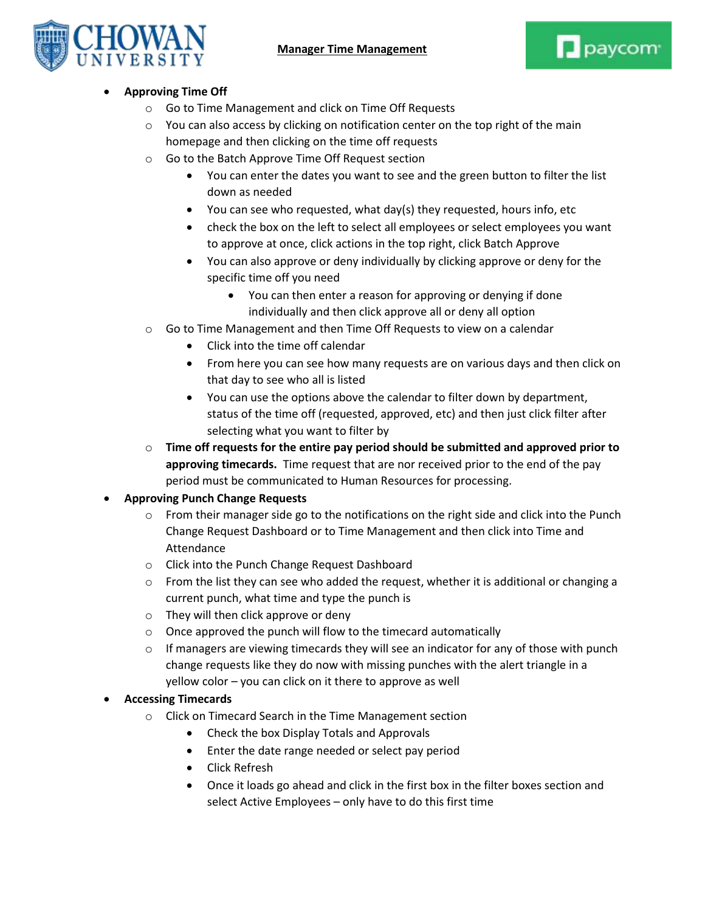

## **Approving Time Off**

- o Go to Time Management and click on Time Off Requests
- $\circ$  You can also access by clicking on notification center on the top right of the main homepage and then clicking on the time off requests
- o Go to the Batch Approve Time Off Request section
	- You can enter the dates you want to see and the green button to filter the list down as needed
	- You can see who requested, what day(s) they requested, hours info, etc
	- check the box on the left to select all employees or select employees you want to approve at once, click actions in the top right, click Batch Approve
	- You can also approve or deny individually by clicking approve or deny for the specific time off you need
		- You can then enter a reason for approving or denying if done individually and then click approve all or deny all option
- o Go to Time Management and then Time Off Requests to view on a calendar
	- Click into the time off calendar
	- From here you can see how many requests are on various days and then click on that day to see who all is listed
	- You can use the options above the calendar to filter down by department, status of the time off (requested, approved, etc) and then just click filter after selecting what you want to filter by
- o **Time off requests for the entire pay period should be submitted and approved prior to approving timecards.** Time request that are nor received prior to the end of the pay period must be communicated to Human Resources for processing.

## **Approving Punch Change Requests**

- $\circ$  From their manager side go to the notifications on the right side and click into the Punch Change Request Dashboard or to Time Management and then click into Time and Attendance
- o Click into the Punch Change Request Dashboard
- $\circ$  From the list they can see who added the request, whether it is additional or changing a current punch, what time and type the punch is
- o They will then click approve or deny
- $\circ$  Once approved the punch will flow to the timecard automatically
- $\circ$  If managers are viewing timecards they will see an indicator for any of those with punch change requests like they do now with missing punches with the alert triangle in a yellow color – you can click on it there to approve as well

## **Accessing Timecards**

- o Click on Timecard Search in the Time Management section
	- Check the box Display Totals and Approvals
	- Enter the date range needed or select pay period
	- Click Refresh
	- Once it loads go ahead and click in the first box in the filter boxes section and select Active Employees – only have to do this first time